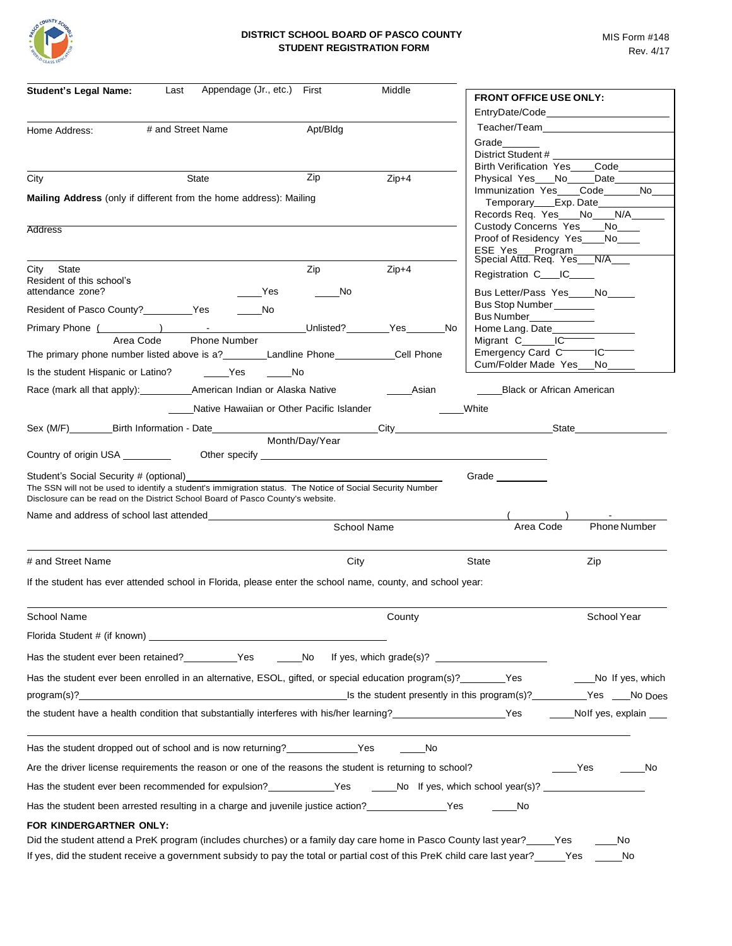

| <b>Student's Legal Name:</b><br>Last                                                                                                                                                                                                  | Appendage (Jr., etc.) First               | Middle      | <b>FRONT OFFICE USE ONLY:</b>                                 |                                          |
|---------------------------------------------------------------------------------------------------------------------------------------------------------------------------------------------------------------------------------------|-------------------------------------------|-------------|---------------------------------------------------------------|------------------------------------------|
|                                                                                                                                                                                                                                       |                                           |             |                                                               | EntryDate/Code _________________________ |
| # and Street Name<br>Home Address:                                                                                                                                                                                                    | Apt/Bldg                                  |             |                                                               |                                          |
|                                                                                                                                                                                                                                       |                                           |             | Grade                                                         |                                          |
|                                                                                                                                                                                                                                       |                                           |             | District Student #                                            | Birth Verification Yes____Code_________  |
| State<br>City                                                                                                                                                                                                                         | Zip                                       | $Zip+4$     | Physical Yes No Date                                          |                                          |
| <b>Mailing Address</b> (only if different from the home address): Mailing                                                                                                                                                             |                                           |             |                                                               | Immunization Yes___Code_____No___        |
|                                                                                                                                                                                                                                       |                                           |             | Temporary____Exp. Date____<br>Records Req. Yes___No__N/A__    |                                          |
| <b>Address</b>                                                                                                                                                                                                                        |                                           |             | Custody Concerns Yes____No____                                |                                          |
|                                                                                                                                                                                                                                       |                                           |             | Proof of Residency Yes____No____                              |                                          |
|                                                                                                                                                                                                                                       |                                           |             | ESE Yes Program<br>Special Attd. Req. Yes N/A                 |                                          |
| City State                                                                                                                                                                                                                            | Zip                                       | $Zip+4$     | Registration C____IC____                                      |                                          |
| Resident of this school's<br>attendance zone?                                                                                                                                                                                         | Yes<br>No                                 |             | Bus Letter/Pass Yes No                                        |                                          |
|                                                                                                                                                                                                                                       |                                           |             | Bus Stop Number                                               |                                          |
| Resident of Pasco County?<br><u>Nestal</u> Yes                                                                                                                                                                                        | $\rule{1em}{0.15mm}$ No                   |             | Bus Number____________                                        |                                          |
|                                                                                                                                                                                                                                       |                                           | No.         | Home Lang. Date_____________                                  |                                          |
| Area Code                                                                                                                                                                                                                             | <b>Phone Number</b>                       |             | Migrant C______IC <sup>______</sup><br>Emergency Card CCCCCCC |                                          |
|                                                                                                                                                                                                                                       |                                           |             | Cum/Folder Made Yes No                                        |                                          |
| Is the student Hispanic or Latino? ________Yes                                                                                                                                                                                        | No                                        |             |                                                               |                                          |
|                                                                                                                                                                                                                                       |                                           | Asian       | Black or African American                                     |                                          |
|                                                                                                                                                                                                                                       | Native Hawaiian or Other Pacific Islander |             | White                                                         |                                          |
| Sex (M/F) Birth Information - Date City City State State State State State State State State State State State State State State State State State State State State State State State State State State State State State Sta        |                                           |             |                                                               |                                          |
|                                                                                                                                                                                                                                       | Month/Day/Year                            |             |                                                               |                                          |
| Country of origin USA __________ Other specify _________________________________                                                                                                                                                      |                                           |             |                                                               |                                          |
| Student's Social Security # (optional)<br>The SSN will not be used to identify a student's immigration status. The Notice of Social Security Number<br>Disclosure can be read on the District School Board of Pasco County's website. |                                           |             | Grade _________                                               |                                          |
| Name and address of school last attended                                                                                                                                                                                              |                                           |             |                                                               |                                          |
|                                                                                                                                                                                                                                       |                                           | School Name | Area Code                                                     | <b>Phone Number</b>                      |
|                                                                                                                                                                                                                                       |                                           |             |                                                               |                                          |
| # and Street Name                                                                                                                                                                                                                     | City                                      |             | State                                                         | Zip                                      |
| If the student has ever attended school in Florida, please enter the school name, county, and school year:                                                                                                                            |                                           |             |                                                               |                                          |
|                                                                                                                                                                                                                                       |                                           |             |                                                               |                                          |
| School Name                                                                                                                                                                                                                           |                                           | County      |                                                               | School Year                              |
|                                                                                                                                                                                                                                       |                                           |             |                                                               |                                          |
| Has the student ever been retained? __________Yes _______No lf yes, which grade(s)? __________________________                                                                                                                        |                                           |             |                                                               |                                          |
| Has the student ever been enrolled in an alternative, ESOL, gifted, or special education program(s)? ________Yes                                                                                                                      |                                           |             |                                                               | No If yes, which                         |
|                                                                                                                                                                                                                                       |                                           |             |                                                               |                                          |
| the student have a health condition that substantially interferes with his/her learning?<br>The student have a health condition that substantially interferes with his/her learning?<br>2008                                          |                                           |             |                                                               |                                          |
|                                                                                                                                                                                                                                       |                                           |             |                                                               |                                          |
| Has the student dropped out of school and is now returning? ____________________Yes                                                                                                                                                   |                                           | a No        |                                                               |                                          |
| Are the driver license requirements the reason or one of the reasons the student is returning to school?                                                                                                                              |                                           |             |                                                               | Yes<br>in No                             |
| Has the student ever been recommended for expulsion?<br>The Set State Manuson of tyes, which school year(s)?                                                                                                                          |                                           |             |                                                               |                                          |
| Has the student been arrested resulting in a charge and juvenile justice action?<br>Yes Mo                                                                                                                                            |                                           |             |                                                               |                                          |
| FOR KINDERGARTNER ONLY:                                                                                                                                                                                                               |                                           |             |                                                               |                                          |
| Did the student attend a PreK program (includes churches) or a family day care home in Pasco County last year? Yes                                                                                                                    |                                           |             |                                                               | No                                       |
| If yes, did the student receive a government subsidy to pay the total or partial cost of this PreK child care last year?<br>Yes                                                                                                       |                                           |             |                                                               | No                                       |